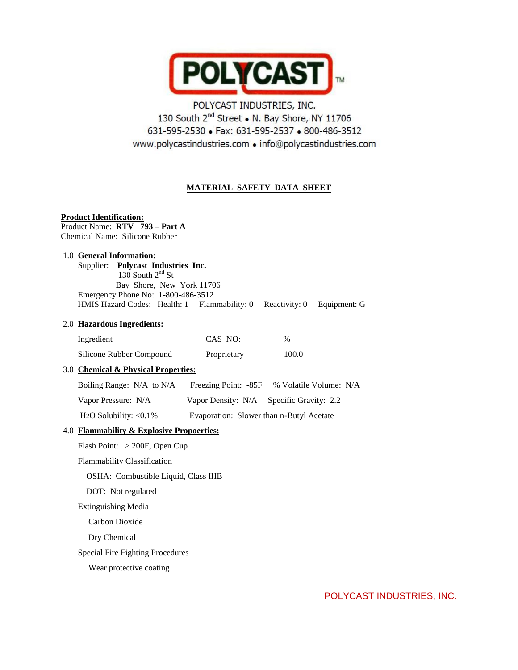

# POLYCAST INDUSTRIES, INC. 130 South 2<sup>nd</sup> Street . N. Bay Shore, NY 11706 631-595-2530 • Fax: 631-595-2537 • 800-486-3512 www.polycastindustries.com · info@polycastindustries.com

# **MATERIAL SAFETY DATA SHEET**

## **Product Identification:**

Product Name: **RTV 793 – Part A** Chemical Name: Silicone Rubber

## 1.0 **General Information:**

 Supplier: **Polycast Industries Inc.**  $130$  South  $2<sup>nd</sup>$  St Bay Shore, New York 11706 Emergency Phone No: 1-800-486-3512 HMIS Hazard Codes: Health: 1 Flammability: 0 Reactivity: 0 Equipment: G

#### 2.0 **Hazardous Ingredients:**

| Ingredient               | CAS NO:     | %     |
|--------------------------|-------------|-------|
| Silicone Rubber Compound | Proprietary | 100.0 |

## 3.0 **Chemical & Physical Properties:**

| Boiling Range: N/A to N/A              | Freezing Point: -85F                     | % Volatile Volume: N/A                   |
|----------------------------------------|------------------------------------------|------------------------------------------|
| Vapor Pressure: N/A                    |                                          | Vapor Density: N/A Specific Gravity: 2.2 |
| H <sub>2</sub> O Solubility: $< 0.1\%$ | Evaporation: Slower than n-Butyl Acetate |                                          |

## 4.0 **Flammability & Explosive Propoerties:**

Flash Point: > 200F, Open Cup

Flammability Classification

OSHA: Combustible Liquid, Class IIIB

DOT: Not regulated

Extinguishing Media

Carbon Dioxide

Dry Chemical

Special Fire Fighting Procedures

Wear protective coating

POLYCAST INDUSTRIES, INC.